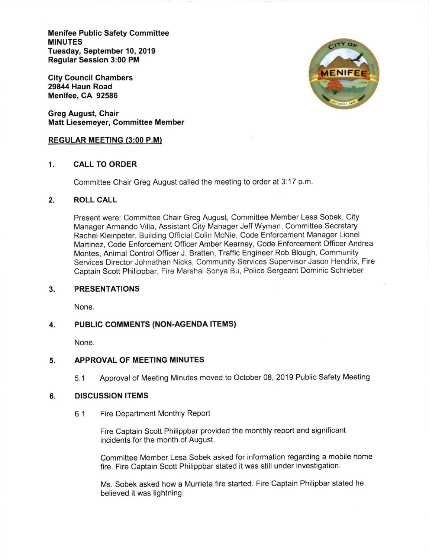Menifee Public Safety Committee MINUTES Tuesday, September 10, 2019 Regular Session 3:00 PM

City Council Chambers 29844 Haun Road Menifee, CA 92586

Greg August, Chair Matt Liesemeyer, Committee Member

## REGULAR MEETING (3:00 P.M)

## 1. CALL TO ORDER

Committee Chair Greg August called the meeting to order at 3:17 p.m

# 2. ROLL CALL

Present were: Committee Chair Greg August, Committee Member Lesa Sobek, City Manager Armando Villa, Assistant City Manager Jeff Wyman, Committee Secretary Rachel Kleinpeter, Building Official Colin McNie, Code Enforcement Manager Lionel Martinez, Code Enforcement Officer Amber Kearney, Code Enforcement Officer Andrea Montes, Animal Control Officer J. Bratten, Traffic Engineer Rob Blough, Community Services Director Johnathan Nicks, Community Services Supervisor Jason Hendrix, Fire Captain Scott Philippbar, Fire Marshal Sonya Bu, Police Sergeant Dominic Schrieber

### PRESENTATIONS 3.

None.

### PUBLIC COMMENTS (NON-AGENDA ITEMS) 4

None.

### APPROVAL OF MEETING MINUTES 5

5.1 Approval of Meeting Minutes moved to October 08, 2019 Public Safety Meeting

### DISCUSSION ITEMS 6

6.1 Fire Department Monthly Report

Fire Captain Scott Philippbar provided the monthly report and significant incidents for the month of August.

Committee Member Lesa Sobek asked for information regarding a mobile home fire. Fire Captain Scott Philippbar stated it was still under investigation.

Ms. Sobek asked how a Murrreta fire started. Fire Captain Philipbar stated he believed it was lightning.

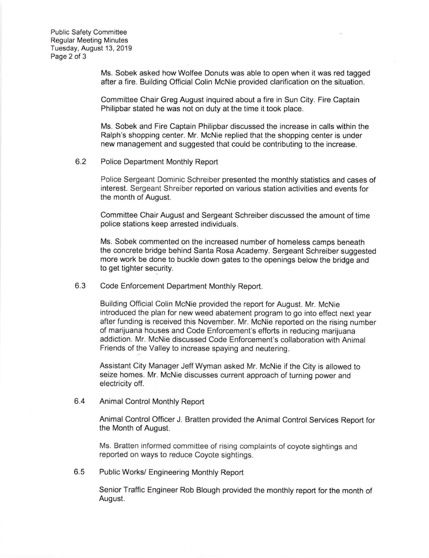Public Safety Committee **Regular Meeting Minutes** Tuesday, August 13, 2019 Page 2 of 3

> Ms. Sobek asked how Wolfee Donuts was able to open when it was red tagged after a fire. Building Official Colin McNie provided clarification on the situation.

Committee Chair Greg August inquired about a fire in Sun City. Fire Captain Philipbar stated he was not on duty at the time it took place.

Ms. Sobek and Fire Captain Philipbar discussed the increase in calls within the Ralph's shopping center. Mr. McNie replied that the shopping center is under new management and suggested that could be contributing to the increase.

6.2 Police Department Monthly Report

Police Sergeant Dominic Schreiber presented the monthly statistics and cases of interest. Sergeant Shreiber reported on various station activities and events for the month of August.

Committee Chair August and Sergeant Schreiber discussed the amount of time police stations keep arrested individuals.

Ms. Sobek commented on the increased number of homeless camps beneath the concrete bridge behind Santa Rosa Academy. Sergeant Schreiber suggested more work be done to buckle down gates to the openings below the bridge and to get tighter security.

 $6.3$ Code Enforcement Department Monthly Report.

> Building Official Colin McNie provided the report for August. Mr. McNie introduced the plan for new weed abatement program to go into effect next year after funding is received this November. Mr. McNie reported on the rising number of marijuana houses and Code Enforcement's efforts in reducing marijuana addiction. Mr. McNie discussed Code Enforcement's collaboration with Animal Friends of the Valley to increase spaying and neutering.

Assistant City Manager Jeff Wyman asked Mr. McNie if the City is allowed to seize homes. Mr. McNie discusses current approach of turning power and electricity off.

6.4 Animal Control Monthly Report

Animal Control Officer J. Bratten provided the Animal Control Services Report for the Month of August.

Ms. Bratten informed committee of rising complaints of coyote sightings and reported on ways to reduce Coyote sightings.

6.5 Public Works/ Engineering Monthly Report

Senior Traffic Engineer Rob Blough provided the monthly report for the month of August.